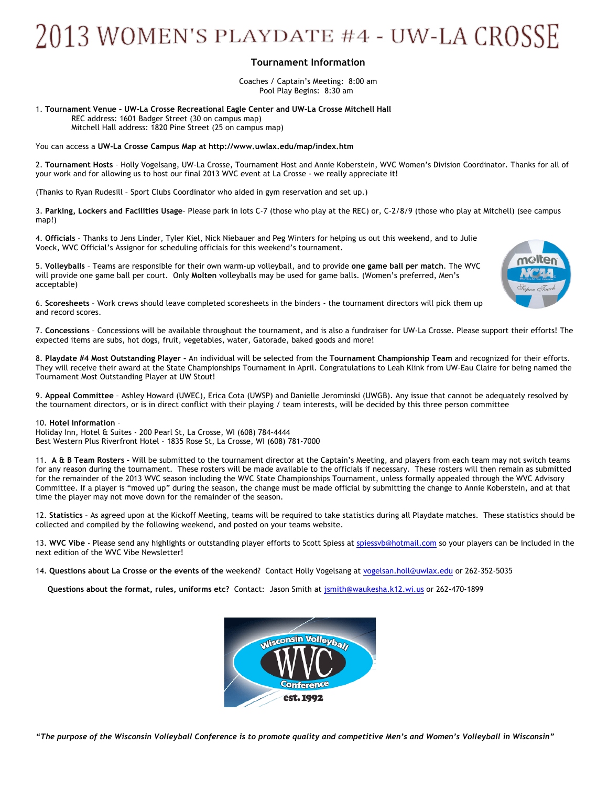## 2013 WOMEN'S PLAYDATE #4 - UW-LA CROSSE

## **Tournament Information**

Coaches / Captain's Meeting: 8:00 am Pool Play Begins: 8:30 am

1. **Tournament Venue – UW-La Crosse Recreational Eagle Center and UW-La Crosse Mitchell Hall** REC address: 1601 Badger Street (30 on campus map)

Mitchell Hall address: 1820 Pine Street (25 on campus map)

You can access a **UW-La Crosse Campus Map at http://www.uwlax.edu/map/index.htm**

2. **Tournament Hosts** – Holly Vogelsang, UW-La Crosse, Tournament Host and Annie Koberstein, WVC Women's Division Coordinator. Thanks for all of your work and for allowing us to host our final 2013 WVC event at La Crosse - we really appreciate it!

(Thanks to Ryan Rudesill – Sport Clubs Coordinator who aided in gym reservation and set up.)

3. **Parking, Lockers and Facilities Usage**- Please park in lots C-7 (those who play at the REC) or, C-2/8/9 (those who play at Mitchell) (see campus map!)

4. **Officials** – Thanks to Jens Linder, Tyler Kiel, Nick Niebauer and Peg Winters for helping us out this weekend, and to Julie Voeck, WVC Official's Assignor for scheduling officials for this weekend's tournament.

5. **Volleyballs** – Teams are responsible for their own warm-up volleyball, and to provide **one game ball per match**. The WVC will provide one game ball per court. Only **Molten** volleyballs may be used for game balls. (Women's preferred, Men's acceptable)



6. **Scoresheets** – Work crews should leave completed scoresheets in the binders - the tournament directors will pick them up and record scores.

7. **Concessions** – Concessions will be available throughout the tournament, and is also a fundraiser for UW-La Crosse. Please support their efforts! The expected items are subs, hot dogs, fruit, vegetables, water, Gatorade, baked goods and more!

8. **Playdate #4 Most Outstanding Player –** An individual will be selected from the **Tournament Championship Team** and recognized for their efforts. They will receive their award at the State Championships Tournament in April. Congratulations to Leah Klink from UW-Eau Claire for being named the Tournament Most Outstanding Player at UW Stout!

9. **Appeal Committee** – Ashley Howard (UWEC), Erica Cota (UWSP) and Danielle Jerominski (UWGB). Any issue that cannot be adequately resolved by the tournament directors, or is in direct conflict with their playing / team interests, will be decided by this three person committee

10. **Hotel Information** –

Holiday Inn, Hotel & Suites - 200 Pearl St, La Crosse, WI (608) 784-4444 Best Western Plus Riverfront Hotel – 1835 Rose St, La Crosse, WI (608) 781-7000

11. **A & B Team Rosters –** Will be submitted to the tournament director at the Captain's Meeting, and players from each team may not switch teams for any reason during the tournament. These rosters will be made available to the officials if necessary. These rosters will then remain as submitted for the remainder of the 2013 WVC season including the WVC State Championships Tournament, unless formally appealed through the WVC Advisory Committee. If a player is "moved up" during the season, the change must be made official by submitting the change to Annie Koberstein, and at that time the player may not move down for the remainder of the season.

12. **Statistics** – As agreed upon at the Kickoff Meeting, teams will be required to take statistics during all Playdate matches. These statistics should be collected and compiled by the following weekend, and posted on your teams website.

13. WVC Vibe - Please send any highlights or outstanding player efforts to Scott Spiess at spiessyb@hotmail.com so your players can be included in the next edition of the WVC Vibe Newsletter!

14. **Questions about La Crosse or the events of the** weekend? Contact Holly Vogelsang at vogelsan.holl@uwlax.edu or 262-352-5035

**Questions about the format, rules, uniforms etc?** Contact: Jason Smith at jsmith@waukesha.k12.wi.us or 262-470-1899